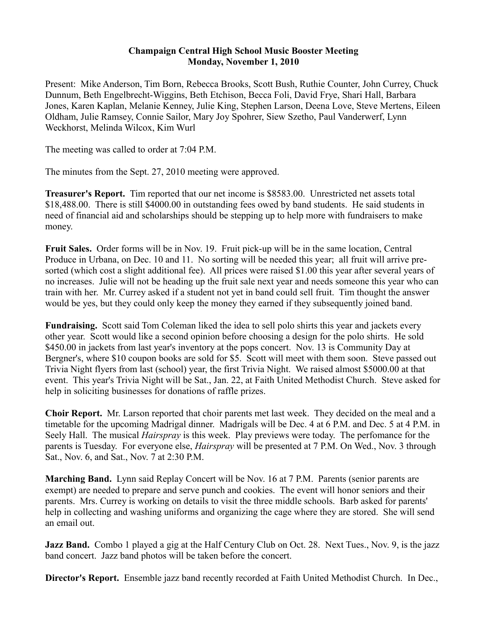## **Champaign Central High School Music Booster Meeting Monday, November 1, 2010**

Present: Mike Anderson, Tim Born, Rebecca Brooks, Scott Bush, Ruthie Counter, John Currey, Chuck Dunnum, Beth Engelbrecht-Wiggins, Beth Etchison, Becca Foli, David Frye, Shari Hall, Barbara Jones, Karen Kaplan, Melanie Kenney, Julie King, Stephen Larson, Deena Love, Steve Mertens, Eileen Oldham, Julie Ramsey, Connie Sailor, Mary Joy Spohrer, Siew Szetho, Paul Vanderwerf, Lynn Weckhorst, Melinda Wilcox, Kim Wurl

The meeting was called to order at 7:04 P.M.

The minutes from the Sept. 27, 2010 meeting were approved.

**Treasurer's Report.** Tim reported that our net income is \$8583.00. Unrestricted net assets total \$18,488.00. There is still \$4000.00 in outstanding fees owed by band students. He said students in need of financial aid and scholarships should be stepping up to help more with fundraisers to make money.

**Fruit Sales.** Order forms will be in Nov. 19. Fruit pick-up will be in the same location, Central Produce in Urbana, on Dec. 10 and 11. No sorting will be needed this year; all fruit will arrive presorted (which cost a slight additional fee). All prices were raised \$1.00 this year after several years of no increases. Julie will not be heading up the fruit sale next year and needs someone this year who can train with her. Mr. Currey asked if a student not yet in band could sell fruit. Tim thought the answer would be yes, but they could only keep the money they earned if they subsequently joined band.

**Fundraising.** Scott said Tom Coleman liked the idea to sell polo shirts this year and jackets every other year. Scott would like a second opinion before choosing a design for the polo shirts. He sold \$450.00 in jackets from last year's inventory at the pops concert. Nov. 13 is Community Day at Bergner's, where \$10 coupon books are sold for \$5. Scott will meet with them soon. Steve passed out Trivia Night flyers from last (school) year, the first Trivia Night. We raised almost \$5000.00 at that event. This year's Trivia Night will be Sat., Jan. 22, at Faith United Methodist Church. Steve asked for help in soliciting businesses for donations of raffle prizes.

**Choir Report.** Mr. Larson reported that choir parents met last week. They decided on the meal and a timetable for the upcoming Madrigal dinner. Madrigals will be Dec. 4 at 6 P.M. and Dec. 5 at 4 P.M. in Seely Hall. The musical *Hairspray* is this week. Play previews were today. The perfomance for the parents is Tuesday. For everyone else, *Hairspray* will be presented at 7 P.M. On Wed., Nov. 3 through Sat., Nov. 6, and Sat., Nov. 7 at 2:30 P.M.

**Marching Band.** Lynn said Replay Concert will be Nov. 16 at 7 P.M. Parents (senior parents are exempt) are needed to prepare and serve punch and cookies. The event will honor seniors and their parents. Mrs. Currey is working on details to visit the three middle schools. Barb asked for parents' help in collecting and washing uniforms and organizing the cage where they are stored. She will send an email out.

**Jazz Band.** Combo 1 played a gig at the Half Century Club on Oct. 28. Next Tues., Nov. 9, is the jazz band concert. Jazz band photos will be taken before the concert.

**Director's Report.** Ensemble jazz band recently recorded at Faith United Methodist Church. In Dec.,